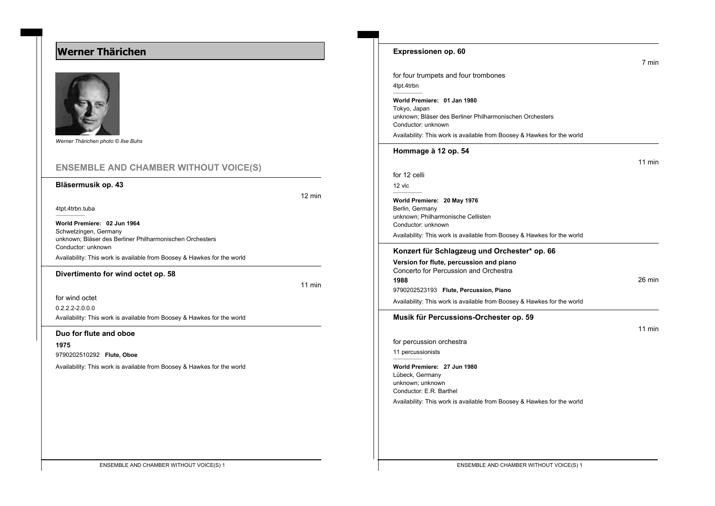# **Werner Thärichen**



*Werner Thärichen photo © Ilse Buhs*

## **ENSEMBLE AND CHAMBER WITHOUT VOICE(S)**

### **Bläsermusik op. 43**

12 min

4tpt.4trbn.tuba

**World Premiere: 02 Jun 1964** Schwetzingen, Germany unknown; Bläser des Berliner Philharmonischen Orchesters Conductor: unknown Availability: This work is available from Boosey & Hawkes for the world

#### **Divertimento for wind octet op. 58**

11 min

for wind octet

0.2.2.2-2.0.0.0

Availability: This work is available from Boosey & Hawkes for the world

#### **Duo for flute and oboe**

**1975**

9790202510292 **Flute, Oboe**

Availability: This work is available from Boosey & Hawkes for the world

| Expressionen op. 60                                                            |        |
|--------------------------------------------------------------------------------|--------|
|                                                                                | 7 min  |
| for four trumpets and four trombones                                           |        |
| 4tpt.4trbn                                                                     |        |
| World Premiere: 01 Jan 1980<br>Tokyo, Japan                                    |        |
| unknown; Bläser des Berliner Philharmonischen Orchesters<br>Conductor: unknown |        |
| Availability: This work is available from Boosey & Hawkes for the world        |        |
| Hommage à 12 op. 54                                                            |        |
|                                                                                | 11 min |
| for 12 celli                                                                   |        |
| 12 vlc                                                                         |        |
| World Premiere: 20 May 1976<br>Berlin, Germany                                 |        |
| unknown: Philharmonische Cellisten<br>Conductor: unknown                       |        |
| Availability: This work is available from Boosey & Hawkes for the world        |        |
| Konzert für Schlagzeug und Orchester* op. 66                                   |        |
| Version for flute, percussion and piano                                        |        |
| Concerto for Percussion and Orchestra                                          |        |
| 1988<br>9790202523193 Flute, Percussion, Piano                                 | 26 min |
| Availability: This work is available from Boosey & Hawkes for the world        |        |
|                                                                                |        |
| Musik für Percussions-Orchester op. 59                                         |        |
|                                                                                | 11 min |
| for percussion orchestra                                                       |        |
| 11 percussionists                                                              |        |
| World Premiere: 27 Jun 1980<br>Lübeck, Germany                                 |        |
| unknown; unknown<br>Conductor: E.R. Barthel                                    |        |
| Availability: This work is available from Boosey & Hawkes for the world        |        |
|                                                                                |        |
|                                                                                |        |